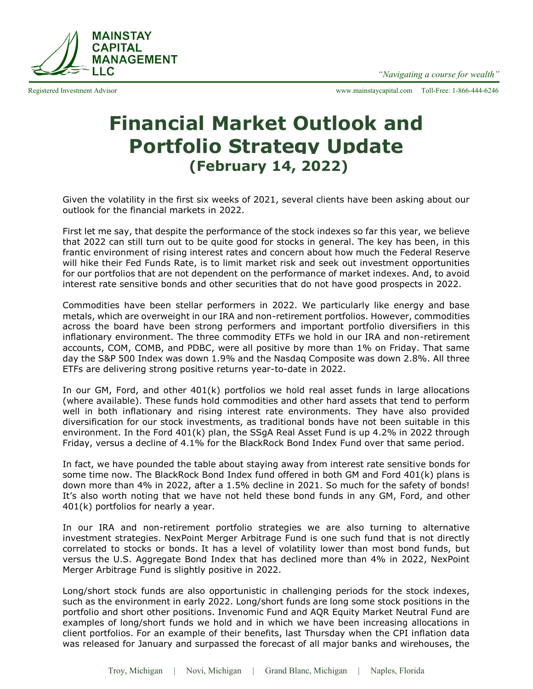

Registered Investment Advisor www.mainstaycapital.com Toll-Free: 1-866-444-6246

## **Financial Market Outlook and Portfolio Strategy Update (February 14, 2022)**

Given the volatility in the first six weeks of 2021, several clients have been asking about our outlook for the financial markets in 2022.

First let me say, that despite the performance of the stock indexes so far this year, we believe that 2022 can still turn out to be quite good for stocks in general. The key has been, in this frantic environment of rising interest rates and concern about how much the Federal Reserve will hike their Fed Funds Rate, is to limit market risk and seek out investment opportunities for our portfolios that are not dependent on the performance of market indexes. And, to avoid interest rate sensitive bonds and other securities that do not have good prospects in 2022.

Commodities have been stellar performers in 2022. We particularly like energy and base metals, which are overweight in our IRA and non-retirement portfolios. However, commodities across the board have been strong performers and important portfolio diversifiers in this inflationary environment. The three commodity ETFs we hold in our IRA and non-retirement accounts, COM, COMB, and PDBC, were all positive by more than 1% on Friday. That same day the S&P 500 Index was down 1.9% and the Nasdaq Composite was down 2.8%. All three ETFs are delivering strong positive returns year-to-date in 2022.

In our GM, Ford, and other 401(k) portfolios we hold real asset funds in large allocations (where available). These funds hold commodities and other hard assets that tend to perform well in both inflationary and rising interest rate environments. They have also provided diversification for our stock investments, as traditional bonds have not been suitable in this environment. In the Ford 401(k) plan, the SSgA Real Asset Fund is up 4.2% in 2022 through Friday, versus a decline of 4.1% for the BlackRock Bond Index Fund over that same period.

In fact, we have pounded the table about staying away from interest rate sensitive bonds for some time now. The BlackRock Bond Index fund offered in both GM and Ford 401(k) plans is down more than 4% in 2022, after a 1.5% decline in 2021. So much for the safety of bonds! It's also worth noting that we have not held these bond funds in any GM, Ford, and other 401(k) portfolios for nearly a year.

In our IRA and non-retirement portfolio strategies we are also turning to alternative investment strategies. NexPoint Merger Arbitrage Fund is one such fund that is not directly correlated to stocks or bonds. It has a level of volatility lower than most bond funds, but versus the U.S. Aggregate Bond Index that has declined more than 4% in 2022, NexPoint Merger Arbitrage Fund is slightly positive in 2022.

Long/short stock funds are also opportunistic in challenging periods for the stock indexes, such as the environment in early 2022. Long/short funds are long some stock positions in the portfolio and short other positions. Invenomic Fund and AQR Equity Market Neutral Fund are examples of long/short funds we hold and in which we have been increasing allocations in client portfolios. For an example of their benefits, last Thursday when the CPI inflation data was released for January and surpassed the forecast of all major banks and wirehouses, the